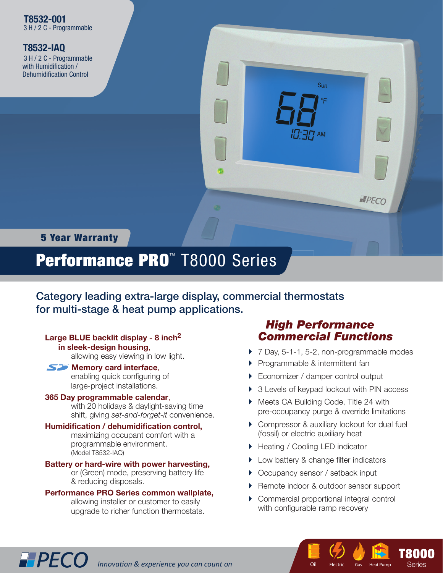**T8532-IAQ** 3 H / 2 C - Programmable with Humidification / Dehumidification Control



## 5 Year Warranty

# Performance PRO™ T8000 Series

Category leading extra-large display, commercial thermostats for multi-stage & heat pump applications.

#### **Large BLUE backlit display - 8 inch2 in sleek-design housing**,

allowing easy viewing in low light.

### **SZ** Memory card interface,

enabling quick configuring of large-project installations.

#### **365 Day programmable calendar**,

 with 20 holidays & daylight-saving time shift, giving *set-and-forget-it* convenience.

#### Humidification / dehumidification control,

 maximizing occupant comfort with a programmable environment. (Model T8532-IAQ)

#### **Battery or hard-wire with power harvesting,**  or (Green) mode, preserving battery life & reducing disposals.

#### **Performance PRO Series common wallplate,** allowing installer or customer to easily

**IPPECO** Innovation & experience you can count on

upgrade to richer function thermostats.

## *High Performance Commercial Functions*

- ▶ 7 Day, 5-1-1, 5-2, non-programmable modes
- **Programmable & intermittent fan**
- ▶ Economizer / damper control output
- ▶ 3 Levels of keypad lockout with PIN access
- Meets CA Building Code, Title 24 with pre-occupancy purge & override limitations
- ▶ Compressor & auxiliary lockout for dual fuel (fossil) or electric auxiliary heat
- ▶ Heating / Cooling LED indicator
- ▶ Low battery & change filter indicators
- ▶ Occupancy sensor / setback input
- ▶ Remote indoor & outdoor sensor support
- Commercial proportional integral control with configurable ramp recovery

**T**  $E$ lectric Gas

Oil Electric Gas Heat Pump Series

**T8000**